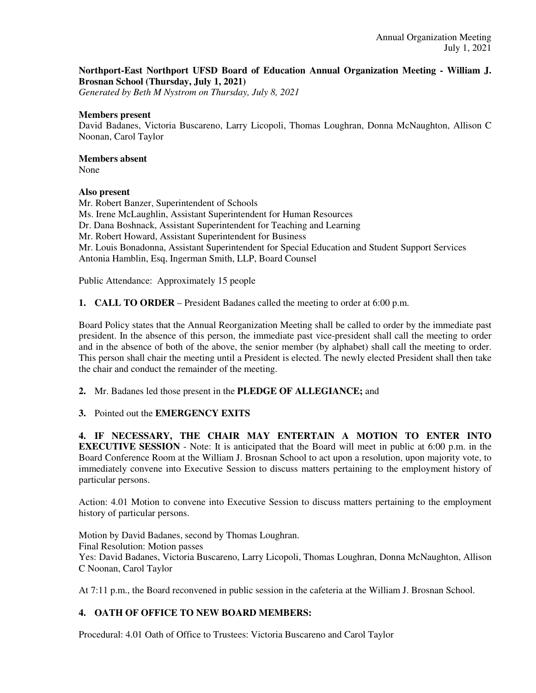# **Northport-East Northport UFSD Board of Education Annual Organization Meeting - William J. Brosnan School (Thursday, July 1, 2021)**

*Generated by Beth M Nystrom on Thursday, July 8, 2021*

#### **Members present**

David Badanes, Victoria Buscareno, Larry Licopoli, Thomas Loughran, Donna McNaughton, Allison C Noonan, Carol Taylor

# **Members absent**

None

## **Also present**

Mr. Robert Banzer, Superintendent of Schools Ms. Irene McLaughlin, Assistant Superintendent for Human Resources Dr. Dana Boshnack, Assistant Superintendent for Teaching and Learning Mr. Robert Howard, Assistant Superintendent for Business Mr. Louis Bonadonna, Assistant Superintendent for Special Education and Student Support Services Antonia Hamblin, Esq, Ingerman Smith, LLP, Board Counsel

Public Attendance: Approximately 15 people

**1. CALL TO ORDER** – President Badanes called the meeting to order at 6:00 p.m.

Board Policy states that the Annual Reorganization Meeting shall be called to order by the immediate past president. In the absence of this person, the immediate past vice-president shall call the meeting to order and in the absence of both of the above, the senior member (by alphabet) shall call the meeting to order. This person shall chair the meeting until a President is elected. The newly elected President shall then take the chair and conduct the remainder of the meeting.

**2.** Mr. Badanes led those present in the **PLEDGE OF ALLEGIANCE;** and

**3.** Pointed out the **EMERGENCY EXITS**

**4. IF NECESSARY, THE CHAIR MAY ENTERTAIN A MOTION TO ENTER INTO EXECUTIVE SESSION** - Note: It is anticipated that the Board will meet in public at 6:00 p.m. in the Board Conference Room at the William J. Brosnan School to act upon a resolution, upon majority vote, to immediately convene into Executive Session to discuss matters pertaining to the employment history of particular persons.

Action: 4.01 Motion to convene into Executive Session to discuss matters pertaining to the employment history of particular persons.

Motion by David Badanes, second by Thomas Loughran. Final Resolution: Motion passes Yes: David Badanes, Victoria Buscareno, Larry Licopoli, Thomas Loughran, Donna McNaughton, Allison C Noonan, Carol Taylor

At 7:11 p.m., the Board reconvened in public session in the cafeteria at the William J. Brosnan School.

# **4. OATH OF OFFICE TO NEW BOARD MEMBERS:**

Procedural: 4.01 Oath of Office to Trustees: Victoria Buscareno and Carol Taylor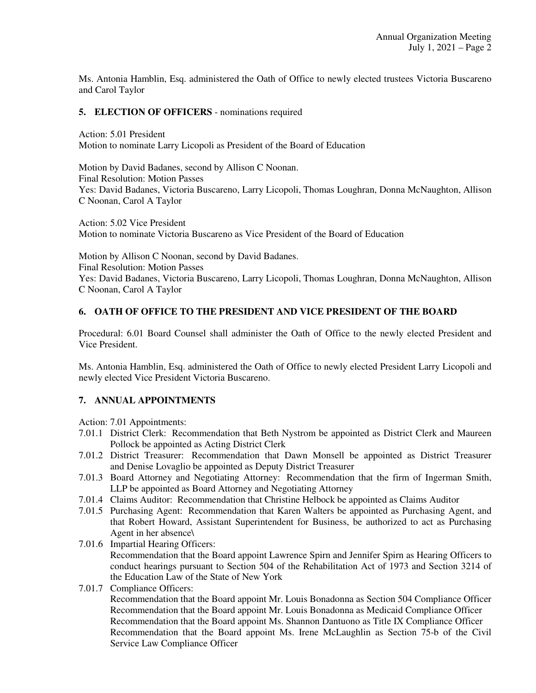Ms. Antonia Hamblin, Esq. administered the Oath of Office to newly elected trustees Victoria Buscareno and Carol Taylor

#### **5. ELECTION OF OFFICERS** - nominations required

Action: 5.01 President Motion to nominate Larry Licopoli as President of the Board of Education

Motion by David Badanes, second by Allison C Noonan. Final Resolution: Motion Passes Yes: David Badanes, Victoria Buscareno, Larry Licopoli, Thomas Loughran, Donna McNaughton, Allison C Noonan, Carol A Taylor

Action: 5.02 Vice President Motion to nominate Victoria Buscareno as Vice President of the Board of Education

Motion by Allison C Noonan, second by David Badanes. Final Resolution: Motion Passes Yes: David Badanes, Victoria Buscareno, Larry Licopoli, Thomas Loughran, Donna McNaughton, Allison C Noonan, Carol A Taylor

### **6. OATH OF OFFICE TO THE PRESIDENT AND VICE PRESIDENT OF THE BOARD**

Procedural: 6.01 Board Counsel shall administer the Oath of Office to the newly elected President and Vice President.

Ms. Antonia Hamblin, Esq. administered the Oath of Office to newly elected President Larry Licopoli and newly elected Vice President Victoria Buscareno.

### **7. ANNUAL APPOINTMENTS**

Action: 7.01 Appointments:

- 7.01.1 District Clerk: Recommendation that Beth Nystrom be appointed as District Clerk and Maureen Pollock be appointed as Acting District Clerk
- 7.01.2 District Treasurer: Recommendation that Dawn Monsell be appointed as District Treasurer and Denise Lovaglio be appointed as Deputy District Treasurer
- 7.01.3 Board Attorney and Negotiating Attorney: Recommendation that the firm of Ingerman Smith, LLP be appointed as Board Attorney and Negotiating Attorney
- 7.01.4 Claims Auditor: Recommendation that Christine Helbock be appointed as Claims Auditor
- 7.01.5 Purchasing Agent: Recommendation that Karen Walters be appointed as Purchasing Agent, and that Robert Howard, Assistant Superintendent for Business, be authorized to act as Purchasing Agent in her absence\
- 7.01.6 Impartial Hearing Officers: Recommendation that the Board appoint Lawrence Spirn and Jennifer Spirn as Hearing Officers to conduct hearings pursuant to Section 504 of the Rehabilitation Act of 1973 and Section 3214 of the Education Law of the State of New York

### 7.01.7 Compliance Officers:

 Recommendation that the Board appoint Mr. Louis Bonadonna as Section 504 Compliance Officer Recommendation that the Board appoint Mr. Louis Bonadonna as Medicaid Compliance Officer Recommendation that the Board appoint Ms. Shannon Dantuono as Title IX Compliance Officer Recommendation that the Board appoint Ms. Irene McLaughlin as Section 75-b of the Civil Service Law Compliance Officer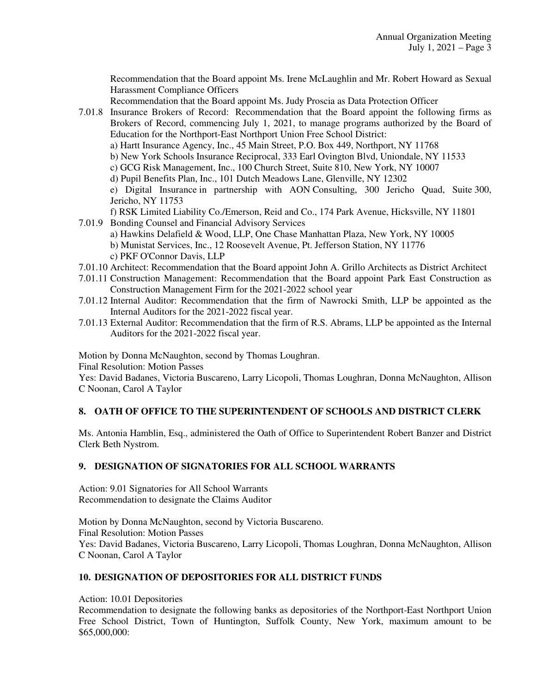Recommendation that the Board appoint Ms. Irene McLaughlin and Mr. Robert Howard as Sexual Harassment Compliance Officers

Recommendation that the Board appoint Ms. Judy Proscia as Data Protection Officer

7.01.8 Insurance Brokers of Record: Recommendation that the Board appoint the following firms as Brokers of Record, commencing July 1, 2021, to manage programs authorized by the Board of Education for the Northport-East Northport Union Free School District: a) Hartt Insurance Agency, Inc., 45 Main Street, P.O. Box 449, Northport, NY 11768 b) New York Schools Insurance Reciprocal, 333 Earl Ovington Blvd, Uniondale, NY 11533 c) GCG Risk Management, Inc., 100 Church Street, Suite 810, New York, NY 10007 d) Pupil Benefits Plan, Inc., 101 Dutch Meadows Lane, Glenville, NY 12302 e) Digital Insurance in partnership with AON Consulting, 300 Jericho Quad, Suite 300, Jericho, NY 11753

f) RSK Limited Liability Co./Emerson, Reid and Co., 174 Park Avenue, Hicksville, NY 11801

- 7.01.9 Bonding Counsel and Financial Advisory Services a) Hawkins Delafield & Wood, LLP, One Chase Manhattan Plaza, New York, NY 10005 b) Munistat Services, Inc., 12 Roosevelt Avenue, Pt. Jefferson Station, NY 11776 c) PKF O'Connor Davis, LLP
- 7.01.10 Architect: Recommendation that the Board appoint John A. Grillo Architects as District Architect
- 7.01.11 Construction Management: Recommendation that the Board appoint Park East Construction as Construction Management Firm for the 2021-2022 school year
- 7.01.12 Internal Auditor: Recommendation that the firm of Nawrocki Smith, LLP be appointed as the Internal Auditors for the 2021-2022 fiscal year.
- 7.01.13 External Auditor: Recommendation that the firm of R.S. Abrams, LLP be appointed as the Internal Auditors for the 2021-2022 fiscal year.

Motion by Donna McNaughton, second by Thomas Loughran.

Final Resolution: Motion Passes

Yes: David Badanes, Victoria Buscareno, Larry Licopoli, Thomas Loughran, Donna McNaughton, Allison C Noonan, Carol A Taylor

# **8. OATH OF OFFICE TO THE SUPERINTENDENT OF SCHOOLS AND DISTRICT CLERK**

Ms. Antonia Hamblin, Esq., administered the Oath of Office to Superintendent Robert Banzer and District Clerk Beth Nystrom.

### **9. DESIGNATION OF SIGNATORIES FOR ALL SCHOOL WARRANTS**

Action: 9.01 Signatories for All School Warrants Recommendation to designate the Claims Auditor

Motion by Donna McNaughton, second by Victoria Buscareno. Final Resolution: Motion Passes Yes: David Badanes, Victoria Buscareno, Larry Licopoli, Thomas Loughran, Donna McNaughton, Allison C Noonan, Carol A Taylor

### **10. DESIGNATION OF DEPOSITORIES FOR ALL DISTRICT FUNDS**

Action: 10.01 Depositories

Recommendation to designate the following banks as depositories of the Northport-East Northport Union Free School District, Town of Huntington, Suffolk County, New York, maximum amount to be \$65,000,000: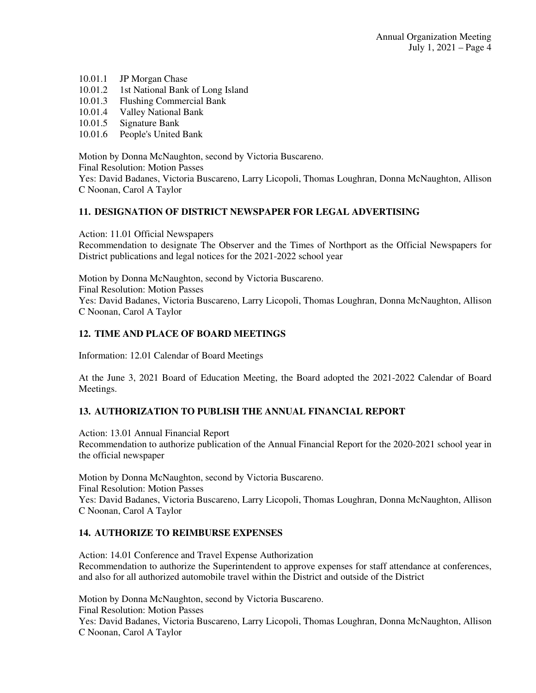- 10.01.1 JP Morgan Chase
- 10.01.2 1st National Bank of Long Island
- 10.01.3 Flushing Commercial Bank<br>10.01.4 Valley National Bank
- Valley National Bank
- 10.01.5 Signature Bank
- 10.01.6 People's United Bank

Motion by Donna McNaughton, second by Victoria Buscareno. Final Resolution: Motion Passes Yes: David Badanes, Victoria Buscareno, Larry Licopoli, Thomas Loughran, Donna McNaughton, Allison C Noonan, Carol A Taylor

# **11. DESIGNATION OF DISTRICT NEWSPAPER FOR LEGAL ADVERTISING**

Action: 11.01 Official Newspapers

Recommendation to designate The Observer and the Times of Northport as the Official Newspapers for District publications and legal notices for the 2021-2022 school year

Motion by Donna McNaughton, second by Victoria Buscareno. Final Resolution: Motion Passes Yes: David Badanes, Victoria Buscareno, Larry Licopoli, Thomas Loughran, Donna McNaughton, Allison C Noonan, Carol A Taylor

## **12. TIME AND PLACE OF BOARD MEETINGS**

Information: 12.01 Calendar of Board Meetings

At the June 3, 2021 Board of Education Meeting, the Board adopted the 2021-2022 Calendar of Board Meetings.

# **13. AUTHORIZATION TO PUBLISH THE ANNUAL FINANCIAL REPORT**

Action: 13.01 Annual Financial Report Recommendation to authorize publication of the Annual Financial Report for the 2020-2021 school year in the official newspaper

Motion by Donna McNaughton, second by Victoria Buscareno. Final Resolution: Motion Passes Yes: David Badanes, Victoria Buscareno, Larry Licopoli, Thomas Loughran, Donna McNaughton, Allison C Noonan, Carol A Taylor

### **14. AUTHORIZE TO REIMBURSE EXPENSES**

Action: 14.01 Conference and Travel Expense Authorization Recommendation to authorize the Superintendent to approve expenses for staff attendance at conferences, and also for all authorized automobile travel within the District and outside of the District

Motion by Donna McNaughton, second by Victoria Buscareno.

Final Resolution: Motion Passes

Yes: David Badanes, Victoria Buscareno, Larry Licopoli, Thomas Loughran, Donna McNaughton, Allison C Noonan, Carol A Taylor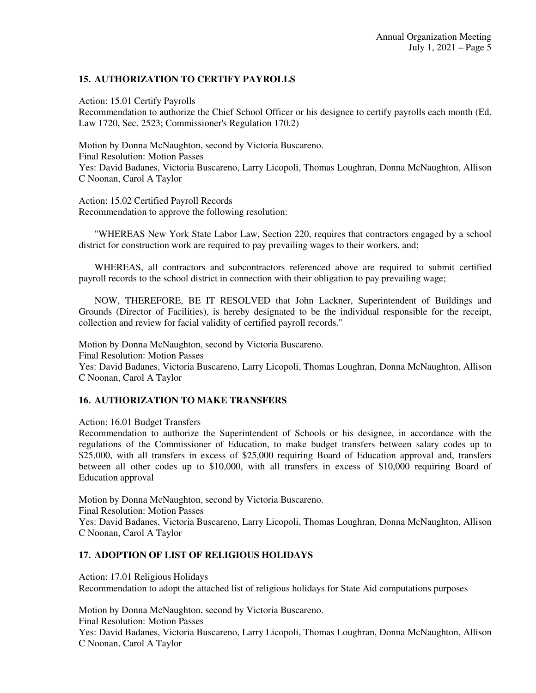## **15. AUTHORIZATION TO CERTIFY PAYROLLS**

Action: 15.01 Certify Payrolls Recommendation to authorize the Chief School Officer or his designee to certify payrolls each month (Ed. Law 1720, Sec. 2523; Commissioner's Regulation 170.2)

Motion by Donna McNaughton, second by Victoria Buscareno. Final Resolution: Motion Passes Yes: David Badanes, Victoria Buscareno, Larry Licopoli, Thomas Loughran, Donna McNaughton, Allison C Noonan, Carol A Taylor

Action: 15.02 Certified Payroll Records Recommendation to approve the following resolution:

 "WHEREAS New York State Labor Law, Section 220, requires that contractors engaged by a school district for construction work are required to pay prevailing wages to their workers, and;

 WHEREAS, all contractors and subcontractors referenced above are required to submit certified payroll records to the school district in connection with their obligation to pay prevailing wage;

 NOW, THEREFORE, BE IT RESOLVED that John Lackner, Superintendent of Buildings and Grounds (Director of Facilities), is hereby designated to be the individual responsible for the receipt, collection and review for facial validity of certified payroll records."

Motion by Donna McNaughton, second by Victoria Buscareno. Final Resolution: Motion Passes Yes: David Badanes, Victoria Buscareno, Larry Licopoli, Thomas Loughran, Donna McNaughton, Allison C Noonan, Carol A Taylor

### **16. AUTHORIZATION TO MAKE TRANSFERS**

Action: 16.01 Budget Transfers

Recommendation to authorize the Superintendent of Schools or his designee, in accordance with the regulations of the Commissioner of Education, to make budget transfers between salary codes up to \$25,000, with all transfers in excess of \$25,000 requiring Board of Education approval and, transfers between all other codes up to \$10,000, with all transfers in excess of \$10,000 requiring Board of Education approval

Motion by Donna McNaughton, second by Victoria Buscareno. Final Resolution: Motion Passes Yes: David Badanes, Victoria Buscareno, Larry Licopoli, Thomas Loughran, Donna McNaughton, Allison C Noonan, Carol A Taylor

### **17. ADOPTION OF LIST OF RELIGIOUS HOLIDAYS**

Action: 17.01 Religious Holidays Recommendation to adopt the attached list of religious holidays for State Aid computations purposes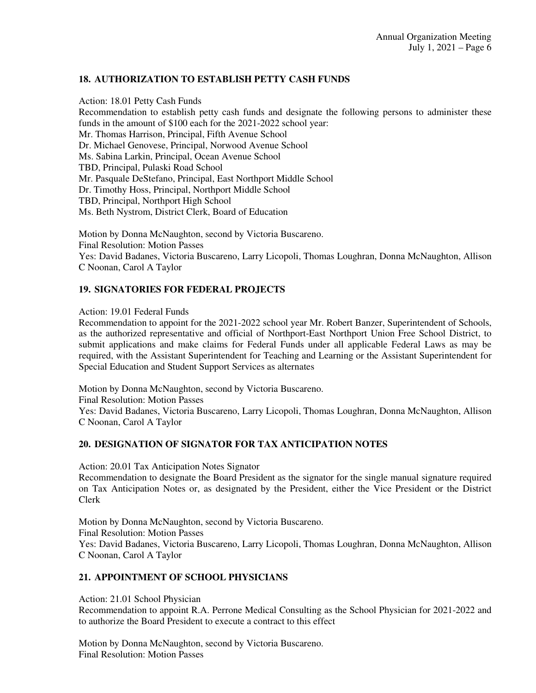# **18. AUTHORIZATION TO ESTABLISH PETTY CASH FUNDS**

Action: 18.01 Petty Cash Funds Recommendation to establish petty cash funds and designate the following persons to administer these funds in the amount of \$100 each for the 2021-2022 school year: Mr. Thomas Harrison, Principal, Fifth Avenue School Dr. Michael Genovese, Principal, Norwood Avenue School Ms. Sabina Larkin, Principal, Ocean Avenue School TBD, Principal, Pulaski Road School Mr. Pasquale DeStefano, Principal, East Northport Middle School Dr. Timothy Hoss, Principal, Northport Middle School TBD, Principal, Northport High School Ms. Beth Nystrom, District Clerk, Board of Education

Motion by Donna McNaughton, second by Victoria Buscareno. Final Resolution: Motion Passes Yes: David Badanes, Victoria Buscareno, Larry Licopoli, Thomas Loughran, Donna McNaughton, Allison C Noonan, Carol A Taylor

# **19. SIGNATORIES FOR FEDERAL PROJECTS**

Action: 19.01 Federal Funds

Recommendation to appoint for the 2021-2022 school year Mr. Robert Banzer, Superintendent of Schools, as the authorized representative and official of Northport-East Northport Union Free School District, to submit applications and make claims for Federal Funds under all applicable Federal Laws as may be required, with the Assistant Superintendent for Teaching and Learning or the Assistant Superintendent for Special Education and Student Support Services as alternates

Motion by Donna McNaughton, second by Victoria Buscareno. Final Resolution: Motion Passes Yes: David Badanes, Victoria Buscareno, Larry Licopoli, Thomas Loughran, Donna McNaughton, Allison C Noonan, Carol A Taylor

### **20. DESIGNATION OF SIGNATOR FOR TAX ANTICIPATION NOTES**

Action: 20.01 Tax Anticipation Notes Signator Recommendation to designate the Board President as the signator for the single manual signature required on Tax Anticipation Notes or, as designated by the President, either the Vice President or the District Clerk

Motion by Donna McNaughton, second by Victoria Buscareno. Final Resolution: Motion Passes Yes: David Badanes, Victoria Buscareno, Larry Licopoli, Thomas Loughran, Donna McNaughton, Allison C Noonan, Carol A Taylor

# **21. APPOINTMENT OF SCHOOL PHYSICIANS**

Action: 21.01 School Physician

Recommendation to appoint R.A. Perrone Medical Consulting as the School Physician for 2021-2022 and to authorize the Board President to execute a contract to this effect

Motion by Donna McNaughton, second by Victoria Buscareno. Final Resolution: Motion Passes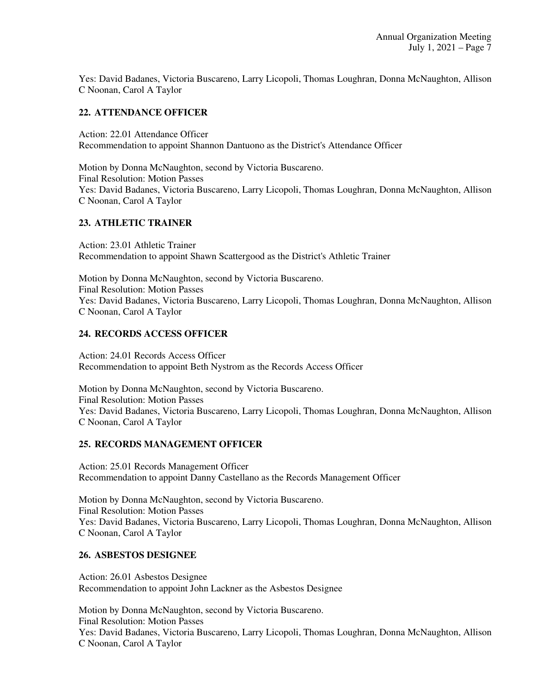Yes: David Badanes, Victoria Buscareno, Larry Licopoli, Thomas Loughran, Donna McNaughton, Allison C Noonan, Carol A Taylor

# **22. ATTENDANCE OFFICER**

Action: 22.01 Attendance Officer Recommendation to appoint Shannon Dantuono as the District's Attendance Officer

Motion by Donna McNaughton, second by Victoria Buscareno. Final Resolution: Motion Passes Yes: David Badanes, Victoria Buscareno, Larry Licopoli, Thomas Loughran, Donna McNaughton, Allison C Noonan, Carol A Taylor

### **23. ATHLETIC TRAINER**

Action: 23.01 Athletic Trainer Recommendation to appoint Shawn Scattergood as the District's Athletic Trainer

Motion by Donna McNaughton, second by Victoria Buscareno. Final Resolution: Motion Passes Yes: David Badanes, Victoria Buscareno, Larry Licopoli, Thomas Loughran, Donna McNaughton, Allison C Noonan, Carol A Taylor

### **24. RECORDS ACCESS OFFICER**

Action: 24.01 Records Access Officer Recommendation to appoint Beth Nystrom as the Records Access Officer

Motion by Donna McNaughton, second by Victoria Buscareno. Final Resolution: Motion Passes Yes: David Badanes, Victoria Buscareno, Larry Licopoli, Thomas Loughran, Donna McNaughton, Allison C Noonan, Carol A Taylor

### **25. RECORDS MANAGEMENT OFFICER**

Action: 25.01 Records Management Officer Recommendation to appoint Danny Castellano as the Records Management Officer

Motion by Donna McNaughton, second by Victoria Buscareno. Final Resolution: Motion Passes Yes: David Badanes, Victoria Buscareno, Larry Licopoli, Thomas Loughran, Donna McNaughton, Allison C Noonan, Carol A Taylor

### **26. ASBESTOS DESIGNEE**

Action: 26.01 Asbestos Designee Recommendation to appoint John Lackner as the Asbestos Designee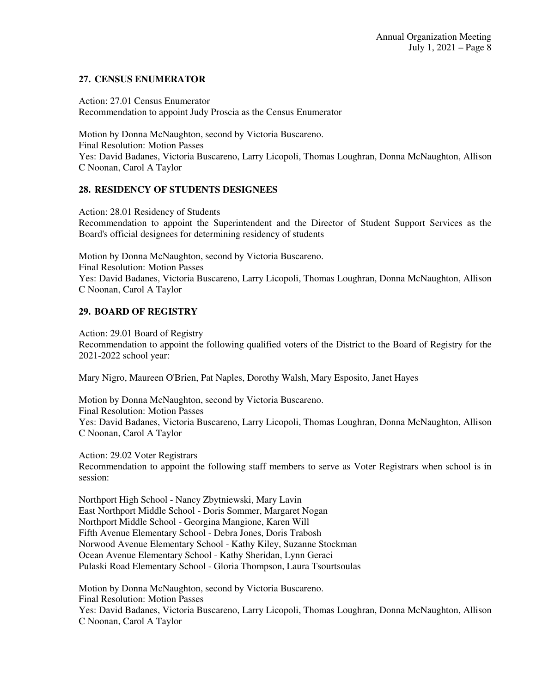# **27. CENSUS ENUMERATOR**

Action: 27.01 Census Enumerator Recommendation to appoint Judy Proscia as the Census Enumerator

Motion by Donna McNaughton, second by Victoria Buscareno. Final Resolution: Motion Passes Yes: David Badanes, Victoria Buscareno, Larry Licopoli, Thomas Loughran, Donna McNaughton, Allison C Noonan, Carol A Taylor

## **28. RESIDENCY OF STUDENTS DESIGNEES**

Action: 28.01 Residency of Students Recommendation to appoint the Superintendent and the Director of Student Support Services as the Board's official designees for determining residency of students

Motion by Donna McNaughton, second by Victoria Buscareno. Final Resolution: Motion Passes Yes: David Badanes, Victoria Buscareno, Larry Licopoli, Thomas Loughran, Donna McNaughton, Allison C Noonan, Carol A Taylor

## **29. BOARD OF REGISTRY**

Action: 29.01 Board of Registry Recommendation to appoint the following qualified voters of the District to the Board of Registry for the 2021-2022 school year:

Mary Nigro, Maureen O'Brien, Pat Naples, Dorothy Walsh, Mary Esposito, Janet Hayes

Motion by Donna McNaughton, second by Victoria Buscareno. Final Resolution: Motion Passes Yes: David Badanes, Victoria Buscareno, Larry Licopoli, Thomas Loughran, Donna McNaughton, Allison C Noonan, Carol A Taylor

Action: 29.02 Voter Registrars Recommendation to appoint the following staff members to serve as Voter Registrars when school is in session:

Northport High School - Nancy Zbytniewski, Mary Lavin East Northport Middle School - Doris Sommer, Margaret Nogan Northport Middle School - Georgina Mangione, Karen Will Fifth Avenue Elementary School - Debra Jones, Doris Trabosh Norwood Avenue Elementary School - Kathy Kiley, Suzanne Stockman Ocean Avenue Elementary School - Kathy Sheridan, Lynn Geraci Pulaski Road Elementary School - Gloria Thompson, Laura Tsourtsoulas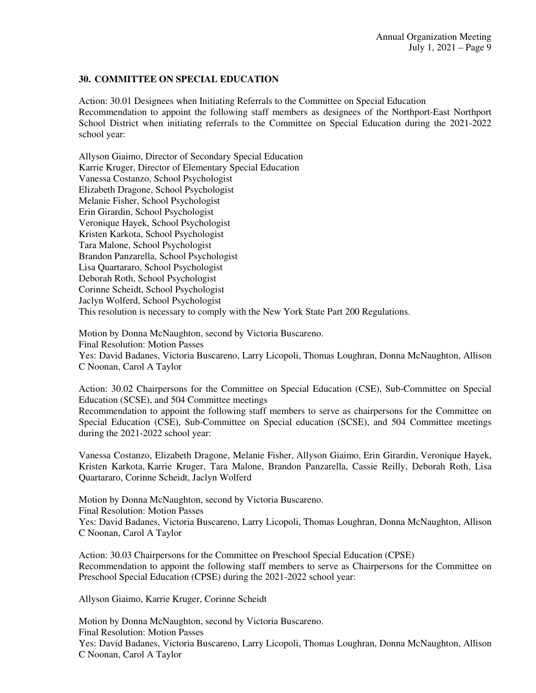# **30. COMMITTEE ON SPECIAL EDUCATION**

Action: 30.01 Designees when Initiating Referrals to the Committee on Special Education Recommendation to appoint the following staff members as designees of the Northport-East Northport School District when initiating referrals to the Committee on Special Education during the 2021-2022 school year:

Allyson Giaimo, Director of Secondary Special Education Karrie Kruger, Director of Elementary Special Education Vanessa Costanzo, School Psychologist Elizabeth Dragone, School Psychologist Melanie Fisher, School Psychologist Erin Girardin, School Psychologist Veronique Hayek, School Psychologist Kristen Karkota, School Psychologist Tara Malone, School Psychologist Brandon Panzarella, School Psychologist Lisa Quartararo, School Psychologist Deborah Roth, School Psychologist Corinne Scheidt, School Psychologist Jaclyn Wolferd, School Psychologist This resolution is necessary to comply with the New York State Part 200 Regulations.

Motion by Donna McNaughton, second by Victoria Buscareno. Final Resolution: Motion Passes Yes: David Badanes, Victoria Buscareno, Larry Licopoli, Thomas Loughran, Donna McNaughton, Allison C Noonan, Carol A Taylor

Action: 30.02 Chairpersons for the Committee on Special Education (CSE), Sub-Committee on Special Education (SCSE), and 504 Committee meetings

Recommendation to appoint the following staff members to serve as chairpersons for the Committee on Special Education (CSE), Sub-Committee on Special education (SCSE), and 504 Committee meetings during the 2021-2022 school year:

Vanessa Costanzo, Elizabeth Dragone, Melanie Fisher, Allyson Giaimo, Erin Girardin, Veronique Hayek, Kristen Karkota, Karrie Kruger, Tara Malone, Brandon Panzarella, Cassie Reilly, Deborah Roth, Lisa Quartararo, Corinne Scheidt, Jaclyn Wolferd

Motion by Donna McNaughton, second by Victoria Buscareno. Final Resolution: Motion Passes Yes: David Badanes, Victoria Buscareno, Larry Licopoli, Thomas Loughran, Donna McNaughton, Allison C Noonan, Carol A Taylor

Action: 30.03 Chairpersons for the Committee on Preschool Special Education (CPSE) Recommendation to appoint the following staff members to serve as Chairpersons for the Committee on Preschool Special Education (CPSE) during the 2021-2022 school year:

Allyson Giaimo, Karrie Kruger, Corinne Scheidt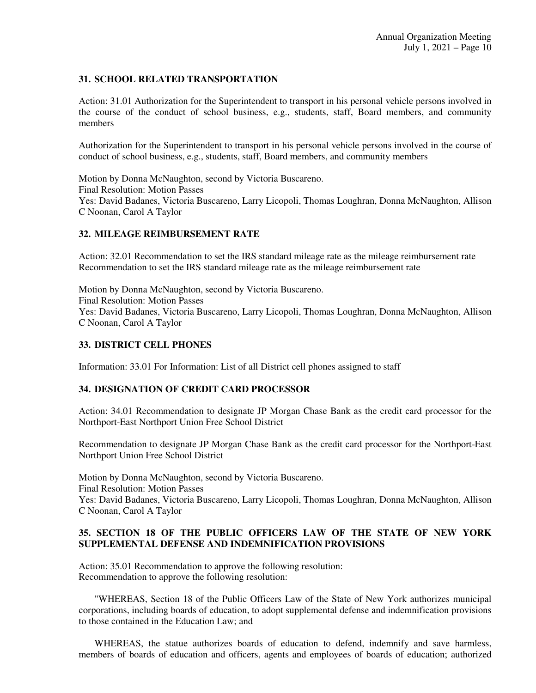# **31. SCHOOL RELATED TRANSPORTATION**

Action: 31.01 Authorization for the Superintendent to transport in his personal vehicle persons involved in the course of the conduct of school business, e.g., students, staff, Board members, and community members

Authorization for the Superintendent to transport in his personal vehicle persons involved in the course of conduct of school business, e.g., students, staff, Board members, and community members

Motion by Donna McNaughton, second by Victoria Buscareno. Final Resolution: Motion Passes Yes: David Badanes, Victoria Buscareno, Larry Licopoli, Thomas Loughran, Donna McNaughton, Allison C Noonan, Carol A Taylor

### **32. MILEAGE REIMBURSEMENT RATE**

Action: 32.01 Recommendation to set the IRS standard mileage rate as the mileage reimbursement rate Recommendation to set the IRS standard mileage rate as the mileage reimbursement rate

Motion by Donna McNaughton, second by Victoria Buscareno. Final Resolution: Motion Passes Yes: David Badanes, Victoria Buscareno, Larry Licopoli, Thomas Loughran, Donna McNaughton, Allison C Noonan, Carol A Taylor

#### **33. DISTRICT CELL PHONES**

Information: 33.01 For Information: List of all District cell phones assigned to staff

### **34. DESIGNATION OF CREDIT CARD PROCESSOR**

Action: 34.01 Recommendation to designate JP Morgan Chase Bank as the credit card processor for the Northport-East Northport Union Free School District

Recommendation to designate JP Morgan Chase Bank as the credit card processor for the Northport-East Northport Union Free School District

Motion by Donna McNaughton, second by Victoria Buscareno. Final Resolution: Motion Passes Yes: David Badanes, Victoria Buscareno, Larry Licopoli, Thomas Loughran, Donna McNaughton, Allison C Noonan, Carol A Taylor

### **35. SECTION 18 OF THE PUBLIC OFFICERS LAW OF THE STATE OF NEW YORK SUPPLEMENTAL DEFENSE AND INDEMNIFICATION PROVISIONS**

Action: 35.01 Recommendation to approve the following resolution: Recommendation to approve the following resolution:

 "WHEREAS, Section 18 of the Public Officers Law of the State of New York authorizes municipal corporations, including boards of education, to adopt supplemental defense and indemnification provisions to those contained in the Education Law; and

 WHEREAS, the statue authorizes boards of education to defend, indemnify and save harmless, members of boards of education and officers, agents and employees of boards of education; authorized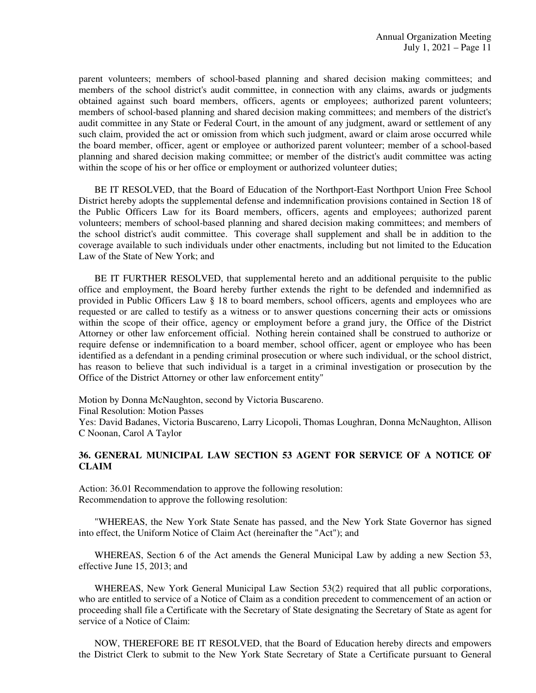parent volunteers; members of school-based planning and shared decision making committees; and members of the school district's audit committee, in connection with any claims, awards or judgments obtained against such board members, officers, agents or employees; authorized parent volunteers; members of school-based planning and shared decision making committees; and members of the district's audit committee in any State or Federal Court, in the amount of any judgment, award or settlement of any such claim, provided the act or omission from which such judgment, award or claim arose occurred while the board member, officer, agent or employee or authorized parent volunteer; member of a school-based planning and shared decision making committee; or member of the district's audit committee was acting within the scope of his or her office or employment or authorized volunteer duties;

 BE IT RESOLVED, that the Board of Education of the Northport-East Northport Union Free School District hereby adopts the supplemental defense and indemnification provisions contained in Section 18 of the Public Officers Law for its Board members, officers, agents and employees; authorized parent volunteers; members of school-based planning and shared decision making committees; and members of the school district's audit committee. This coverage shall supplement and shall be in addition to the coverage available to such individuals under other enactments, including but not limited to the Education Law of the State of New York; and

 BE IT FURTHER RESOLVED, that supplemental hereto and an additional perquisite to the public office and employment, the Board hereby further extends the right to be defended and indemnified as provided in Public Officers Law § 18 to board members, school officers, agents and employees who are requested or are called to testify as a witness or to answer questions concerning their acts or omissions within the scope of their office, agency or employment before a grand jury, the Office of the District Attorney or other law enforcement official. Nothing herein contained shall be construed to authorize or require defense or indemnification to a board member, school officer, agent or employee who has been identified as a defendant in a pending criminal prosecution or where such individual, or the school district, has reason to believe that such individual is a target in a criminal investigation or prosecution by the Office of the District Attorney or other law enforcement entity"

Motion by Donna McNaughton, second by Victoria Buscareno.

Final Resolution: Motion Passes

Yes: David Badanes, Victoria Buscareno, Larry Licopoli, Thomas Loughran, Donna McNaughton, Allison C Noonan, Carol A Taylor

## **36. GENERAL MUNICIPAL LAW SECTION 53 AGENT FOR SERVICE OF A NOTICE OF CLAIM**

Action: 36.01 Recommendation to approve the following resolution: Recommendation to approve the following resolution:

 "WHEREAS, the New York State Senate has passed, and the New York State Governor has signed into effect, the Uniform Notice of Claim Act (hereinafter the "Act"); and

 WHEREAS, Section 6 of the Act amends the General Municipal Law by adding a new Section 53, effective June 15, 2013; and

 WHEREAS, New York General Municipal Law Section 53(2) required that all public corporations, who are entitled to service of a Notice of Claim as a condition precedent to commencement of an action or proceeding shall file a Certificate with the Secretary of State designating the Secretary of State as agent for service of a Notice of Claim:

 NOW, THEREFORE BE IT RESOLVED, that the Board of Education hereby directs and empowers the District Clerk to submit to the New York State Secretary of State a Certificate pursuant to General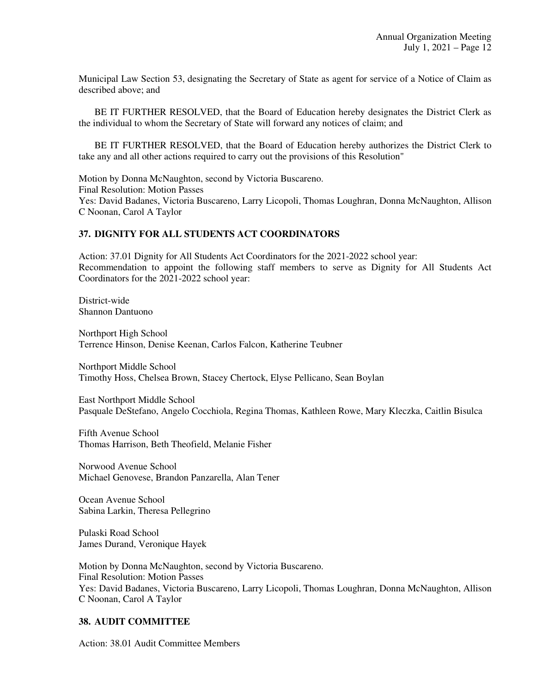Municipal Law Section 53, designating the Secretary of State as agent for service of a Notice of Claim as described above; and

 BE IT FURTHER RESOLVED, that the Board of Education hereby designates the District Clerk as the individual to whom the Secretary of State will forward any notices of claim; and

 BE IT FURTHER RESOLVED, that the Board of Education hereby authorizes the District Clerk to take any and all other actions required to carry out the provisions of this Resolution"

Motion by Donna McNaughton, second by Victoria Buscareno. Final Resolution: Motion Passes Yes: David Badanes, Victoria Buscareno, Larry Licopoli, Thomas Loughran, Donna McNaughton, Allison C Noonan, Carol A Taylor

### **37. DIGNITY FOR ALL STUDENTS ACT COORDINATORS**

Action: 37.01 Dignity for All Students Act Coordinators for the 2021-2022 school year: Recommendation to appoint the following staff members to serve as Dignity for All Students Act Coordinators for the 2021-2022 school year:

District-wide Shannon Dantuono

Northport High School Terrence Hinson, Denise Keenan, Carlos Falcon, Katherine Teubner

Northport Middle School Timothy Hoss, Chelsea Brown, Stacey Chertock, Elyse Pellicano, Sean Boylan

East Northport Middle School Pasquale DeStefano, Angelo Cocchiola, Regina Thomas, Kathleen Rowe, Mary Kleczka, Caitlin Bisulca

Fifth Avenue School Thomas Harrison, Beth Theofield, Melanie Fisher

Norwood Avenue School Michael Genovese, Brandon Panzarella, Alan Tener

Ocean Avenue School Sabina Larkin, Theresa Pellegrino

Pulaski Road School James Durand, Veronique Hayek

Motion by Donna McNaughton, second by Victoria Buscareno. Final Resolution: Motion Passes Yes: David Badanes, Victoria Buscareno, Larry Licopoli, Thomas Loughran, Donna McNaughton, Allison C Noonan, Carol A Taylor

#### **38. AUDIT COMMITTEE**

Action: 38.01 Audit Committee Members